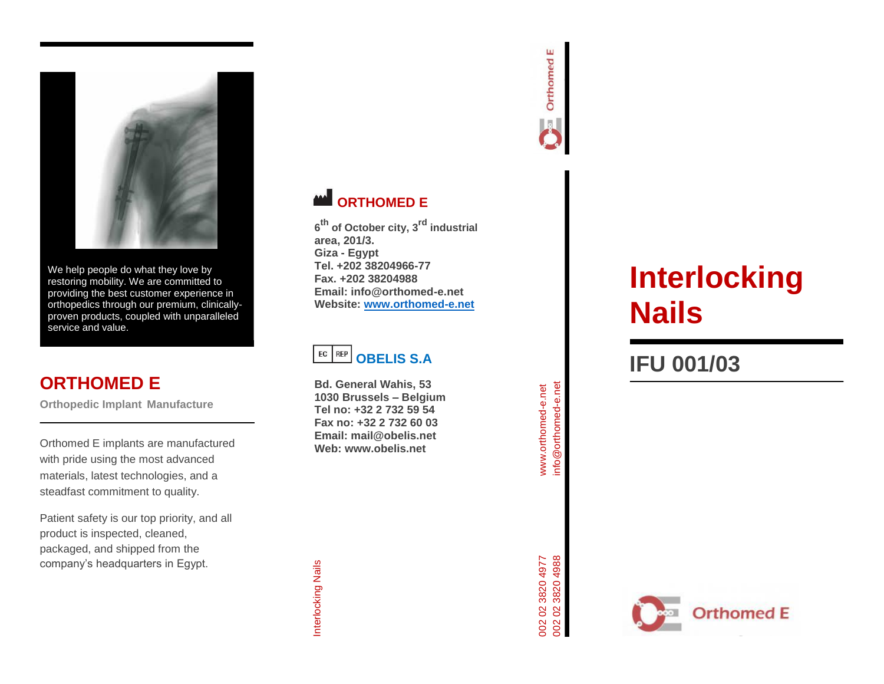

We help people do what they love by restoring mobility. We are committed to providing the best customer experience in orthopedics through our premium, clinically proven products, coupled with unparalleled service and value.

# **ORTHOMED E**

**Orthopedic Implant Manufacture**

Orthomed E implants are manufactured with pride using the most advanced materials, latest technologies, and a steadfast commitment to quality.

Patient safety is our top priority, and all product is inspected, cleaned, packaged, and shipped from the company's headquarters in Egypt.



**6 th of October city, 3rd industrial area, 201/3. Giza - Egypt Tel. +202 38204966 -77 Fax. +202 38204988 Email: info@orthomed -e.net Website: [www.orthomed](http://www.orthomed-e.net/) -e.net**

#### $EC$  REP **OBELIS S.A**

**Bd. General Wahis, 53 1030 Brussels – Belgium Tel no: +32 2 732 59 54 Fax no: +32 2 732 60 03 Email: mail@obelis.net Web: www.obelis.net**



# **IFU 001/0 3**

www.orthomed-e.net info@orthomed-e.net

info@orthomed-e.net www.orthomed-e.net

Orthomed E

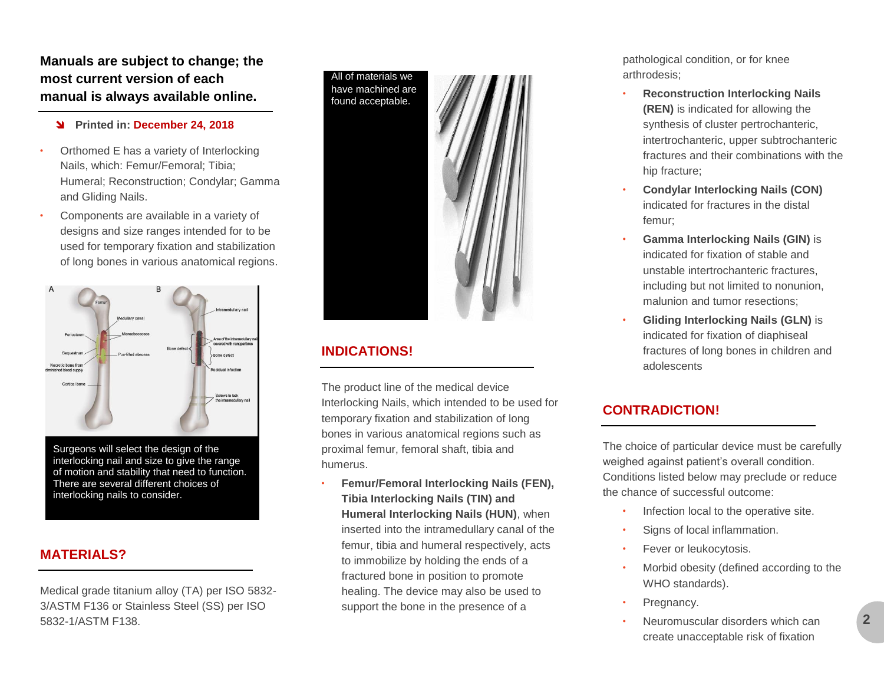**Manuals are subject to change; the most current version of each manual is always available online.**

#### **Printed in: December 24, 2018**

- Orthomed E has a variety of Interlocking Nails, which: Femur/Femoral; Tibia; Humeral; Reconstruction; Condylar; Gamma and Gliding Nails.
- Components are available in a variety of designs and size ranges intended for to be used for temporary fixation and stabilization of long bones in various anatomical regions.



Surgeons will select the design of the interlocking nail and size to give the range of motion and stability that need to function. There are several different choices of interlocking nails to consider.

#### **MATERIALS?**

Medical grade titanium alloy (TA) per ISO 5832- 3/ASTM F136 or Stainless Steel (SS) per ISO 5832-1/ASTM F138.

All of materials we have machined are found acceptable.



#### **INDICATIONS!**

The product line of the medical device Interlocking Nails, which intended to be used for temporary fixation and stabilization of long bones in various anatomical regions such as proximal femur, femoral shaft, tibia and humerus.

• **Femur/Femoral Interlocking Nails (FEN), Tibia Interlocking Nails (TIN) and Humeral Interlocking Nails (HUN)**, when inserted into the intramedullary canal of the femur, tibia and humeral respectively, acts to immobilize by holding the ends of a fractured bone in position to promote healing. The device may also be used to support the bone in the presence of a

pathological condition, or for knee arthrodesis;

- **Reconstruction Interlocking Nails (REN)** is indicated for allowing the synthesis of cluster pertrochanteric, intertrochanteric, upper subtrochanteric fractures and their combinations with the hip fracture;
- **Condylar Interlocking Nails (CON)** indicated for fractures in the distal femur;
- **Gamma Interlocking Nails (GIN)** is indicated for fixation of stable and unstable intertrochanteric fractures, including but not limited to nonunion, malunion and tumor resections;
- **Gliding Interlocking Nails (GLN)** is indicated for fixation of diaphiseal fractures of long bones in children and adolescents

#### **CONTRADICTION!**

The choice of particular device must be carefully weighed against patient's overall condition. Conditions listed below may preclude or reduce the chance of successful outcome:

- Infection local to the operative site.
- Signs of local inflammation.
- Fever or leukocytosis.
- Morbid obesity (defined according to the WHO standards).
- Pregnancy.
- Neuromuscular disorders which can create unacceptable risk of fixation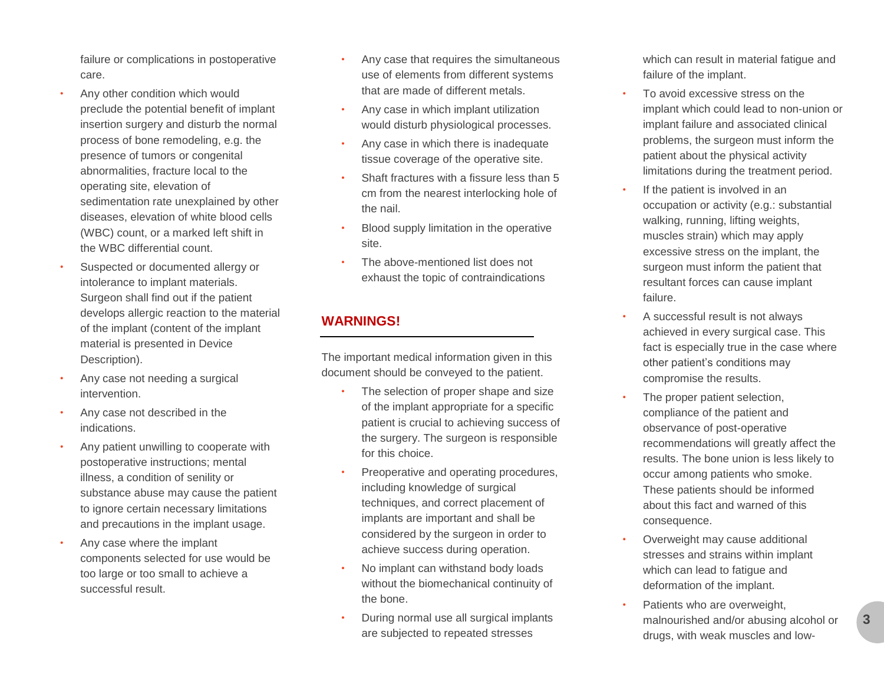failure or complications in postoperative care.

- Any other condition which would preclude the potential benefit of implant insertion surgery and disturb the normal process of bone remodeling, e.g. the presence of tumors or congenital abnormalities, fracture local to the operating site, elevation of sedimentation rate unexplained by other diseases, elevation of white blood cells (WBC) count, or a marked left shift in the WBC differential count.
- Suspected or documented allergy or intolerance to implant materials. Surgeon shall find out if the patient develops allergic reaction to the material of the implant (content of the implant material is presented in Device Description).
- Any case not needing a surgical intervention.
- Any case not described in the indications.
- Any patient unwilling to cooperate with postoperative instructions; mental illness, a condition of senility or substance abuse may cause the patient to ignore certain necessary limitations and precautions in the implant usage.
- Any case where the implant components selected for use would be too large or too small to achieve a successful result.
- Any case that requires the simultaneous use of elements from different systems that are made of different metals.
- Any case in which implant utilization would disturb physiological processes.
- Any case in which there is inadequate tissue coverage of the operative site.
- Shaft fractures with a fissure less than 5 cm from the nearest interlocking hole of the nail.
- Blood supply limitation in the operative site.
- The above -mentioned list does not exhaust the topic of contraindications

## **WARNINGS!**

The important medical information given in this document should be conveyed to the patient.

- The selection of proper shape and size of the implant appropriate for a specific patient is crucial to achieving success of the surgery. The surgeon is responsible for this choice.
- Preoperative and operating procedures, including knowledge of surgical techniques, and correct placement of implants are important and shall be considered by the surgeon in order to achieve success during operation.
- No implant can withstand body loads without the biomechanical continuity of the bone.
- During normal use all surgical implants are subjected to repeated stresses

which can result in material fatigue and failure of the implant.

- To avoid excessive stress on the implant which could lead to non -union or implant failure and associated clinical problems, the surgeon must inform the patient about the physical activity limitations during the treatment period.
- If the patient is involved in an occupation or activity (e.g.: substantial walking, running, lifting weights, muscles strain) which may apply excessive stress on the implant, the surgeon must inform the patient that resultant forces can cause implant failure.
- A successful result is not always achieved in every surgical case. This fact is especially true in the case where other patient's conditions may compromise the results.
- The proper patient selection, compliance of the patient and observance of post -operative recommendations will greatly affect the results. The bone union is less likely to occur among patients who smoke. These patients should be informed about this fact and warned of this consequence.
- Overweight may cause additional stresses and strains within implant which can lead to fatigue and deformation of the implant.
- Patients who are overweight, malnourished and/or abusing alcohol or drugs, with weak muscles and low -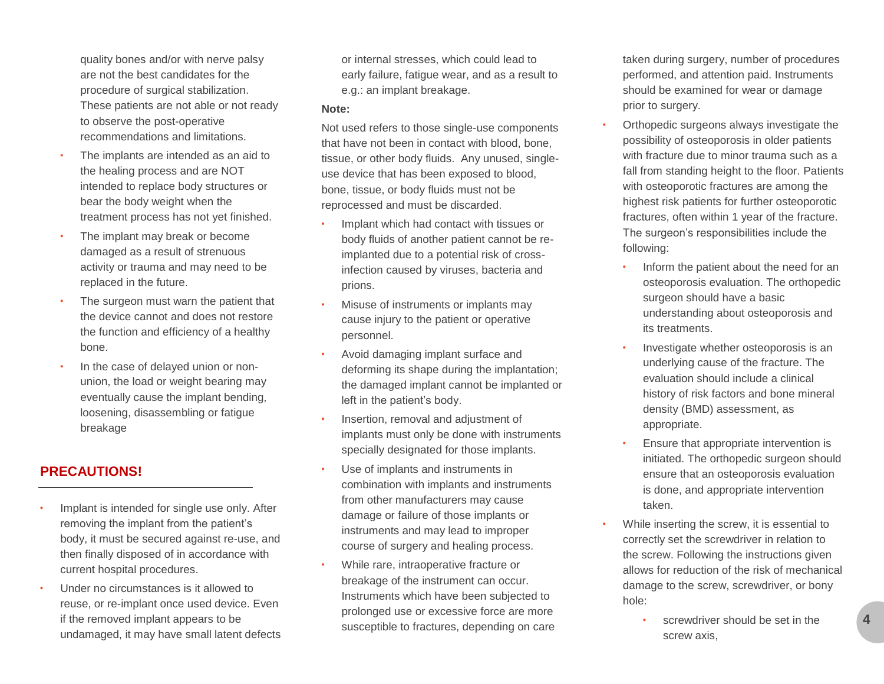quality bones and/or with nerve palsy are not the best candidates for the procedure of surgical stabilization. These patients are not able or not ready to observe the post-operative recommendations and limitations.

- The implants are intended as an aid to the healing process and are NOT intended to replace body structures or bear the body weight when the treatment process has not yet finished.
- The implant may break or become damaged as a result of strenuous activity or trauma and may need to be replaced in the future.
- The surgeon must warn the patient that the device cannot and does not restore the function and efficiency of a healthy bone.
- In the case of delayed union or nonunion, the load or weight bearing may eventually cause the implant bending, loosening, disassembling or fatigue breakage

#### **PRECAUTIONS!**

- Implant is intended for single use only. After removing the implant from the patient's body, it must be secured against re-use, and then finally disposed of in accordance with current hospital procedures.
- Under no circumstances is it allowed to reuse, or re-implant once used device. Even if the removed implant appears to be undamaged, it may have small latent defects

or internal stresses, which could lead to early failure, fatigue wear, and as a result to e.g.: an implant breakage.

#### **Note:**

Not used refers to those single-use components that have not been in contact with blood, bone, tissue, or other body fluids. Any unused, singleuse device that has been exposed to blood, bone, tissue, or body fluids must not be reprocessed and must be discarded.

- Implant which had contact with tissues or body fluids of another patient cannot be reimplanted due to a potential risk of crossinfection caused by viruses, bacteria and prions.
- Misuse of instruments or implants may cause injury to the patient or operative personnel.
- Avoid damaging implant surface and deforming its shape during the implantation; the damaged implant cannot be implanted or left in the patient's body.
- Insertion, removal and adjustment of implants must only be done with instruments specially designated for those implants.
- Use of implants and instruments in combination with implants and instruments from other manufacturers may cause damage or failure of those implants or instruments and may lead to improper course of surgery and healing process.
- While rare, intraoperative fracture or breakage of the instrument can occur. Instruments which have been subjected to prolonged use or excessive force are more susceptible to fractures, depending on care

taken during surgery, number of procedures performed, and attention paid. Instruments should be examined for wear or damage prior to surgery.

- Orthopedic surgeons always investigate the possibility of osteoporosis in older patients with fracture due to minor trauma such as a fall from standing height to the floor. Patients with osteoporotic fractures are among the highest risk patients for further osteoporotic fractures, often within 1 year of the fracture. The surgeon's responsibilities include the following:
	- Inform the patient about the need for an osteoporosis evaluation. The orthopedic surgeon should have a basic understanding about osteoporosis and its treatments.
	- Investigate whether osteoporosis is an underlying cause of the fracture. The evaluation should include a clinical history of risk factors and bone mineral density (BMD) assessment, as appropriate.
	- Ensure that appropriate intervention is initiated. The orthopedic surgeon should ensure that an osteoporosis evaluation is done, and appropriate intervention taken.
- While inserting the screw, it is essential to correctly set the screwdriver in relation to the screw. Following the instructions given allows for reduction of the risk of mechanical damage to the screw, screwdriver, or bony hole:
	- screwdriver should be set in the screw axis,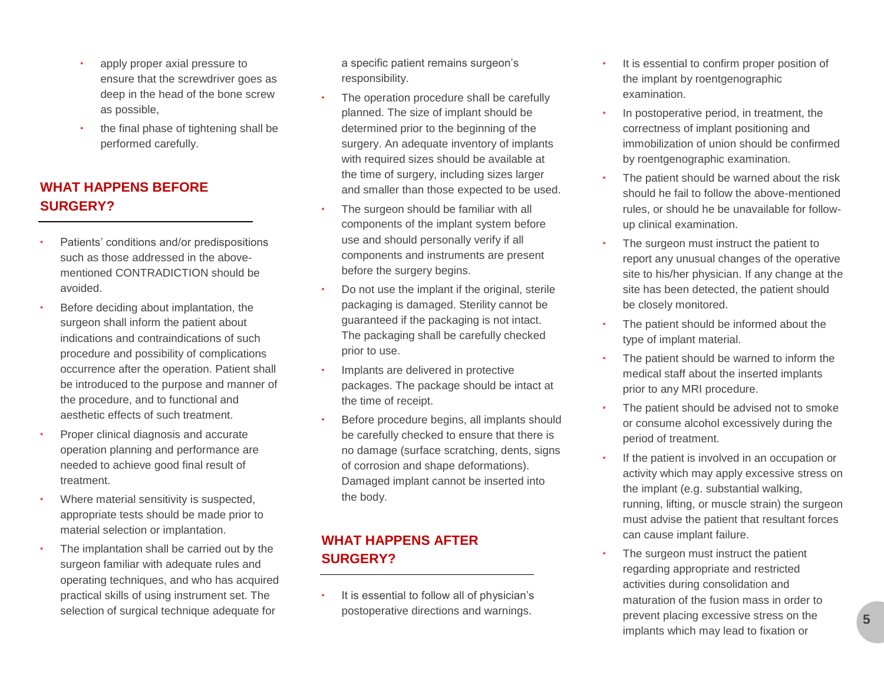- apply proper axial pressure to ensure that the screwdriver goes as deep in the head of the bone screw as possible,
- the final phase of tightening shall be performed carefully.

#### **WHAT HAPPENS BEFORE SURGERY?**

- Patients' conditions and/or predispositions such as those addressed in the abovementioned CONTRADICTION should be avoided.
- Before deciding about implantation, the surgeon shall inform the patient about indications and contraindications of such procedure and possibility of complications occurrence after the operation. Patient shall be introduced to the purpose and manner of the procedure, and to functional and aesthetic effects of such treatment.
- Proper clinical diagnosis and accurate operation planning and performance are needed to achieve good final result of treatment.
- Where material sensitivity is suspected, appropriate tests should be made prior to material selection or implantation.
- The implantation shall be carried out by the surgeon familiar with adequate rules and operating techniques, and who has acquired practical skills of using instrument set. The selection of surgical technique adequate for

a specific patient remains surgeon's responsibility.

- The operation procedure shall be carefully planned. The size of implant should be determined prior to the beginning of the surgery. An adequate inventory of implants with required sizes should be available at the time of surgery, including sizes larger and smaller than those expected to be used.
- The surgeon should be familiar with all components of the implant system before use and should personally verify if all components and instruments are present before the surgery begins.
- Do not use the implant if the original, sterile packaging is damaged. Sterility cannot be guaranteed if the packaging is not intact. The packaging shall be carefully checked prior to use.
- Implants are delivered in protective packages. The package should be intact at the time of receipt.
- Before procedure begins, all implants should be carefully checked to ensure that there is no damage (surface scratching, dents, signs of corrosion and shape deformations). Damaged implant cannot be inserted into the body.

#### **WHAT HAPPENS AFTER SURGERY?**

It is essential to follow all of physician's postoperative directions and warnings.

- It is essential to confirm proper position of the implant by roentgenographic examination.
- In postoperative period, in treatment, the correctness of implant positioning and immobilization of union should be confirmed by roentgenographic examination.
- The patient should be warned about the risk should he fail to follow the above-mentioned rules, or should he be unavailable for followup clinical examination.
- The surgeon must instruct the patient to report any unusual changes of the operative site to his/her physician. If any change at the site has been detected, the patient should be closely monitored.
- The patient should be informed about the type of implant material.
- The patient should be warned to inform the medical staff about the inserted implants prior to any MRI procedure.
- The patient should be advised not to smoke or consume alcohol excessively during the period of treatment.
- If the patient is involved in an occupation or activity which may apply excessive stress on the implant (e.g. substantial walking, running, lifting, or muscle strain) the surgeon must advise the patient that resultant forces can cause implant failure.
- The surgeon must instruct the patient regarding appropriate and restricted activities during consolidation and maturation of the fusion mass in order to prevent placing excessive stress on the implants which may lead to fixation or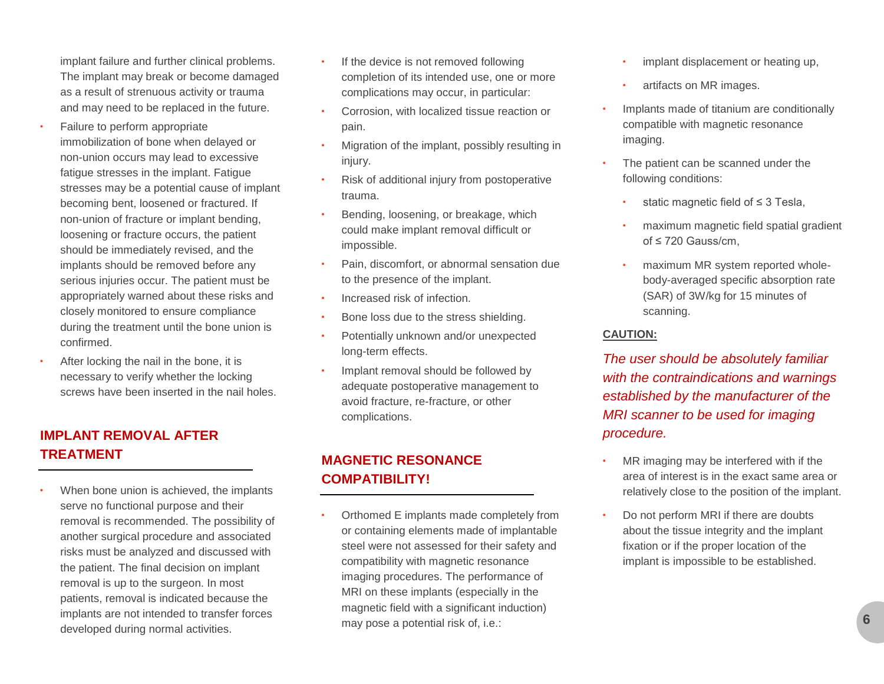implant failure and further clinical problems. The implant may break or become damaged as a result of strenuous activity or trauma and may need to be replaced in the future.

- Failure to perform appropriate immobilization of bone when delayed or non-union occurs may lead to excessive fatigue stresses in the implant. Fatigue stresses may be a potential cause of implant becoming bent, loosened or fractured. If non-union of fracture or implant bending, loosening or fracture occurs, the patient should be immediately revised, and the implants should be removed before any serious injuries occur. The patient must be appropriately warned about these risks and closely monitored to ensure compliance during the treatment until the bone union is confirmed.
- After locking the nail in the bone, it is necessary to verify whether the locking screws have been inserted in the nail holes.

## **IMPLANT REMOVAL AFTER TREATMENT**

When bone union is achieved, the implants serve no functional purpose and their removal is recommended. The possibility of another surgical procedure and associated risks must be analyzed and discussed with the patient. The final decision on implant removal is up to the surgeon. In most patients, removal is indicated because the implants are not intended to transfer forces developed during normal activities.

- If the device is not removed following completion of its intended use, one or more complications may occur, in particular:
- Corrosion, with localized tissue reaction or pain.
- Migration of the implant, possibly resulting in injury.
- Risk of additional injury from postoperative trauma.
- Bending, loosening, or breakage, which could make implant removal difficult or impossible.
- Pain, discomfort, or abnormal sensation due to the presence of the implant.
- Increased risk of infection.
- Bone loss due to the stress shielding.
- Potentially unknown and/or unexpected long-term effects.
- Implant removal should be followed by adequate postoperative management to avoid fracture, re-fracture, or other complications.

## **MAGNETIC RESONANCE COMPATIBILITY!**

• Orthomed E implants made completely from or containing elements made of implantable steel were not assessed for their safety and compatibility with magnetic resonance imaging procedures. The performance of MRI on these implants (especially in the magnetic field with a significant induction) may pose a potential risk of, i.e.:

- implant displacement or heating up,
- artifacts on MR images.
- Implants made of titanium are conditionally compatible with magnetic resonance imaging.
- The patient can be scanned under the following conditions:
	- static magnetic field of ≤ 3 Tesla,
	- maximum magnetic field spatial gradient of ≤ 720 Gauss/cm,
	- maximum MR system reported wholebody-averaged specific absorption rate (SAR) of 3W/kg for 15 minutes of scanning.

#### **CAUTION:**

*The user should be absolutely familiar with the contraindications and warnings established by the manufacturer of the MRI scanner to be used for imaging procedure.*

- MR imaging may be interfered with if the area of interest is in the exact same area or relatively close to the position of the implant.
- Do not perform MRI if there are doubts about the tissue integrity and the implant fixation or if the proper location of the implant is impossible to be established.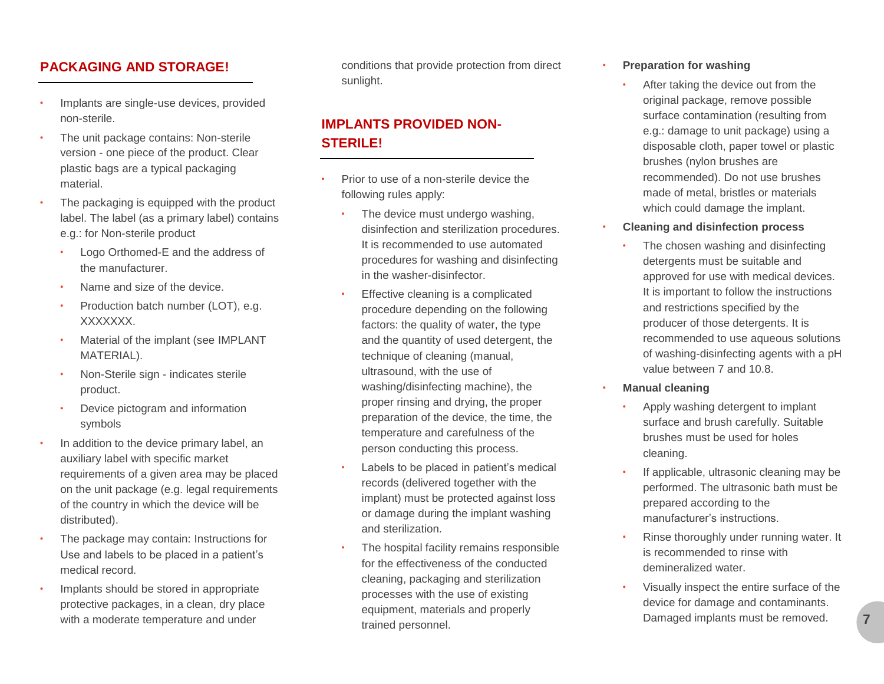#### **PACKAGING AND STORAGE!**

- Implants are single-use devices, provided non-sterile.
- The unit package contains: Non-sterile version - one piece of the product. Clear plastic bags are a typical packaging material.
- The packaging is equipped with the product label. The label (as a primary label) contains e.g.: for Non-sterile product
	- Logo Orthomed-E and the address of the manufacturer.
	- Name and size of the device.
	- Production batch number (LOT), e.g. XXXXXXX.
	- Material of the implant (see IMPLANT MATERIAL).
	- Non-Sterile sign indicates sterile product.
	- Device pictogram and information symbols
- In addition to the device primary label, an auxiliary label with specific market requirements of a given area may be placed on the unit package (e.g. legal requirements of the country in which the device will be distributed).
- The package may contain: Instructions for Use and labels to be placed in a patient's medical record.
- Implants should be stored in appropriate protective packages, in a clean, dry place with a moderate temperature and under

conditions that provide protection from direct sunlight.

## **IMPLANTS PROVIDED NON-STERILE!**

- Prior to use of a non-sterile device the following rules apply:
	- The device must undergo washing, disinfection and sterilization procedures. It is recommended to use automated procedures for washing and disinfecting in the washer-disinfector.
	- Effective cleaning is a complicated procedure depending on the following factors: the quality of water, the type and the quantity of used detergent, the technique of cleaning (manual, ultrasound, with the use of washing/disinfecting machine), the proper rinsing and drying, the proper preparation of the device, the time, the temperature and carefulness of the person conducting this process.
	- Labels to be placed in patient's medical records (delivered together with the implant) must be protected against loss or damage during the implant washing and sterilization.
	- The hospital facility remains responsible for the effectiveness of the conducted cleaning, packaging and sterilization processes with the use of existing equipment, materials and properly trained personnel.
- **Preparation for washing**
	- After taking the device out from the original package, remove possible surface contamination (resulting from e.g.: damage to unit package) using a disposable cloth, paper towel or plastic brushes (nylon brushes are recommended). Do not use brushes made of metal, bristles or materials which could damage the implant.
- **Cleaning and disinfection process**
	- The chosen washing and disinfecting detergents must be suitable and approved for use with medical devices. It is important to follow the instructions and restrictions specified by the producer of those detergents. It is recommended to use aqueous solutions of washing-disinfecting agents with a pH value between 7 and 10.8.
- **Manual cleaning**
	- Apply washing detergent to implant surface and brush carefully. Suitable brushes must be used for holes cleaning.
	- If applicable, ultrasonic cleaning may be performed. The ultrasonic bath must be prepared according to the manufacturer's instructions.
	- Rinse thoroughly under running water. It is recommended to rinse with demineralized water.
	- Visually inspect the entire surface of the device for damage and contaminants. Damaged implants must be removed.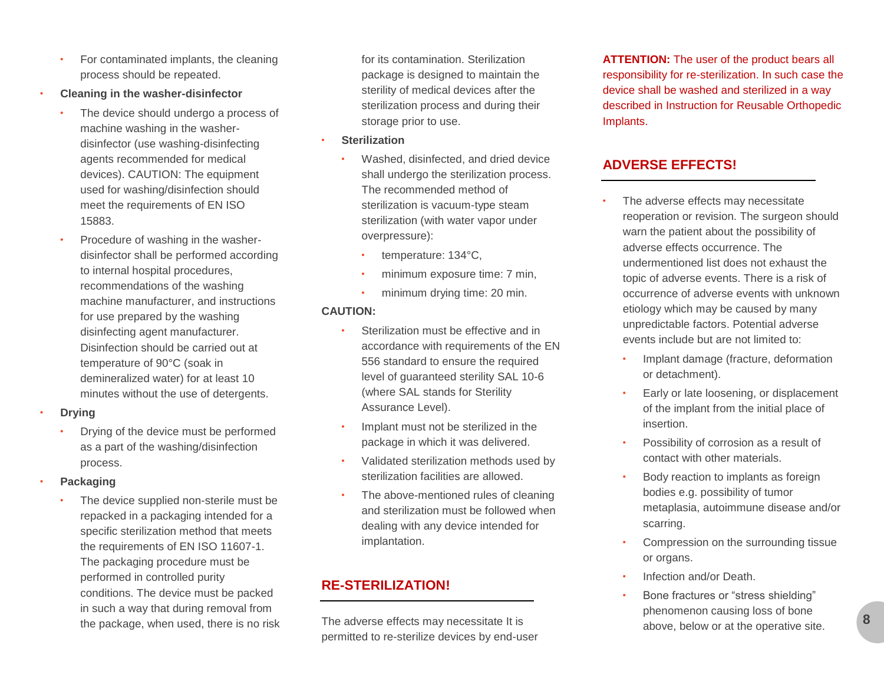- For contaminated implants, the cleaning process should be repeated.
- **Cleaning in the washer-disinfector**
	- The device should undergo a process of machine washing in the washerdisinfector (use washing-disinfecting agents recommended for medical devices). CAUTION: The equipment used for washing/disinfection should meet the requirements of EN ISO 15883.
	- Procedure of washing in the washerdisinfector shall be performed according to internal hospital procedures, recommendations of the washing machine manufacturer, and instructions for use prepared by the washing disinfecting agent manufacturer. Disinfection should be carried out at temperature of 90°C (soak in demineralized water) for at least 10 minutes without the use of detergents.
- **Drying**
	- Drying of the device must be performed as a part of the washing/disinfection process.
- **Packaging**
	- The device supplied non-sterile must be repacked in a packaging intended for a specific sterilization method that meets the requirements of EN ISO 11607-1. The packaging procedure must be performed in controlled purity conditions. The device must be packed in such a way that during removal from the package, when used, there is no risk

for its contamination. Sterilization package is designed to maintain the sterility of medical devices after the sterilization process and during their storage prior to use.

- **Sterilization**
	- Washed, disinfected, and dried device shall undergo the sterilization process. The recommended method of sterilization is vacuum-type steam sterilization (with water vapor under overpressure):
		- temperature: 134°C,
		- minimum exposure time: 7 min,
		- minimum drying time: 20 min.

#### **CAUTION:**

- Sterilization must be effective and in accordance with requirements of the EN 556 standard to ensure the required level of guaranteed sterility SAL 10-6 (where SAL stands for Sterility Assurance Level).
- Implant must not be sterilized in the package in which it was delivered.
- Validated sterilization methods used by sterilization facilities are allowed.
- The above-mentioned rules of cleaning and sterilization must be followed when dealing with any device intended for implantation.

# **RE-STERILIZATION!**

The adverse effects may necessitate It is permitted to re-sterilize devices by end-user **ATTENTION:** The user of the product bears all responsibility for re-sterilization. In such case the device shall be washed and sterilized in a way described in Instruction for Reusable Orthopedic Implants.

# **ADVERSE EFFECTS!**

- The adverse effects may necessitate reoperation or revision. The surgeon should warn the patient about the possibility of adverse effects occurrence. The undermentioned list does not exhaust the topic of adverse events. There is a risk of occurrence of adverse events with unknown etiology which may be caused by many unpredictable factors. Potential adverse events include but are not limited to:
	- Implant damage (fracture, deformation or detachment).
	- Early or late loosening, or displacement of the implant from the initial place of insertion.
	- Possibility of corrosion as a result of contact with other materials.
	- Body reaction to implants as foreign bodies e.g. possibility of tumor metaplasia, autoimmune disease and/or scarring.
	- Compression on the surrounding tissue or organs.
	- Infection and/or Death.
	- Bone fractures or "stress shielding" phenomenon causing loss of bone above, below or at the operative site.